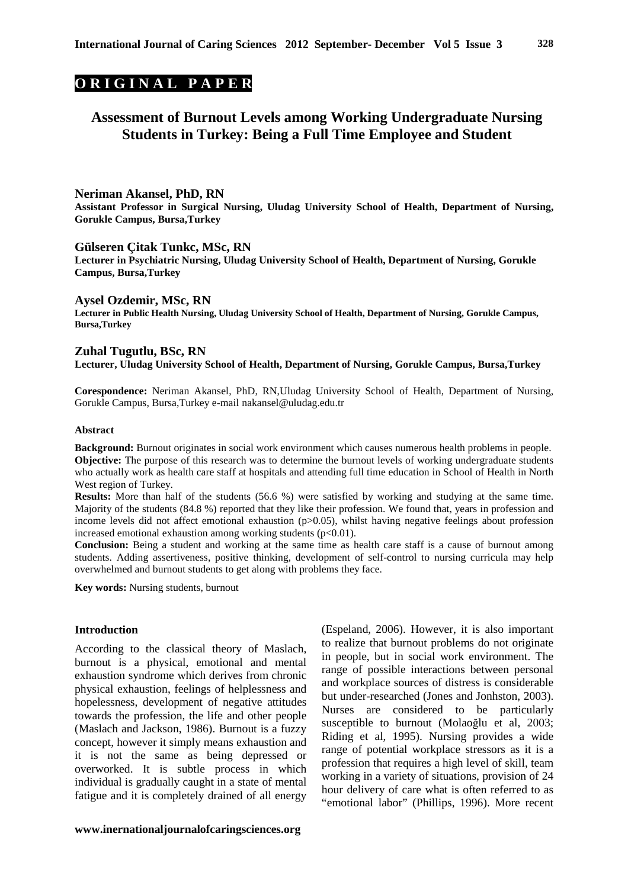# **O R I G I N A L P A P E R**

# **Assessment of Burnout Levels among Working Undergraduate Nursing Students in Turkey: Being a Full Time Employee and Student**

#### **Neriman Akansel, PhD, RN**

**Assistant Professor in Surgical Nursing, Uludag University School of Health, Department of Nursing, Gorukle Campus, Bursa,Turkey** 

## **Gülseren Çitak Tunkc, MSc, RN**

**Lecturer in Psychiatric Nursing, Uludag University School of Health, Department of Nursing, Gorukle Campus, Bursa,Turkey** 

#### **Aysel Ozdemir, MSc, RN**

**Lecturer in Public Health Nursing, Uludag University School of Health, Department of Nursing, Gorukle Campus, Bursa,Turkey** 

#### **Zuhal Tugutlu, BSc, RN**

**Lecturer, Uludag University School of Health, Department of Nursing, Gorukle Campus, Bursa,Turkey** 

**Corespondence:** Neriman Akansel, PhD, RN,Uludag University School of Health, Department of Nursing, Gorukle Campus, Bursa,Turkey e-mail nakansel@uludag.edu.tr

#### **Abstract**

**Background:** Burnout originates in social work environment which causes numerous health problems in people. **Objective:** The purpose of this research was to determine the burnout levels of working undergraduate students who actually work as health care staff at hospitals and attending full time education in School of Health in North West region of Turkey.

**Results:** More than half of the students (56.6 %) were satisfied by working and studying at the same time. Majority of the students (84.8 %) reported that they like their profession. We found that, years in profession and income levels did not affect emotional exhaustion  $(p>0.05)$ , whilst having negative feelings about profession increased emotional exhaustion among working students  $(p<0.01)$ .

**Conclusion:** Being a student and working at the same time as health care staff is a cause of burnout among students. Adding assertiveness, positive thinking, development of self-control to nursing curricula may help overwhelmed and burnout students to get along with problems they face.

**Key words:** Nursing students, burnout

#### **Introduction**

According to the classical theory of Maslach, burnout is a physical, emotional and mental exhaustion syndrome which derives from chronic physical exhaustion, feelings of helplessness and hopelessness, development of negative attitudes towards the profession, the life and other people (Maslach and Jackson, 1986). Burnout is a fuzzy concept, however it simply means exhaustion and it is not the same as being depressed or overworked. It is subtle process in which individual is gradually caught in a state of mental fatigue and it is completely drained of all energy

(Espeland, 2006). However, it is also important to realize that burnout problems do not originate in people, but in social work environment. The range of possible interactions between personal and workplace sources of distress is considerable but under-researched (Jones and Jonhston, 2003). Nurses are considered to be particularly susceptible to burnout (Molaoğlu et al, 2003; Riding et al, 1995). Nursing provides a wide range of potential workplace stressors as it is a profession that requires a high level of skill, team working in a variety of situations, provision of 24 hour delivery of care what is often referred to as "emotional labor" (Phillips, 1996). More recent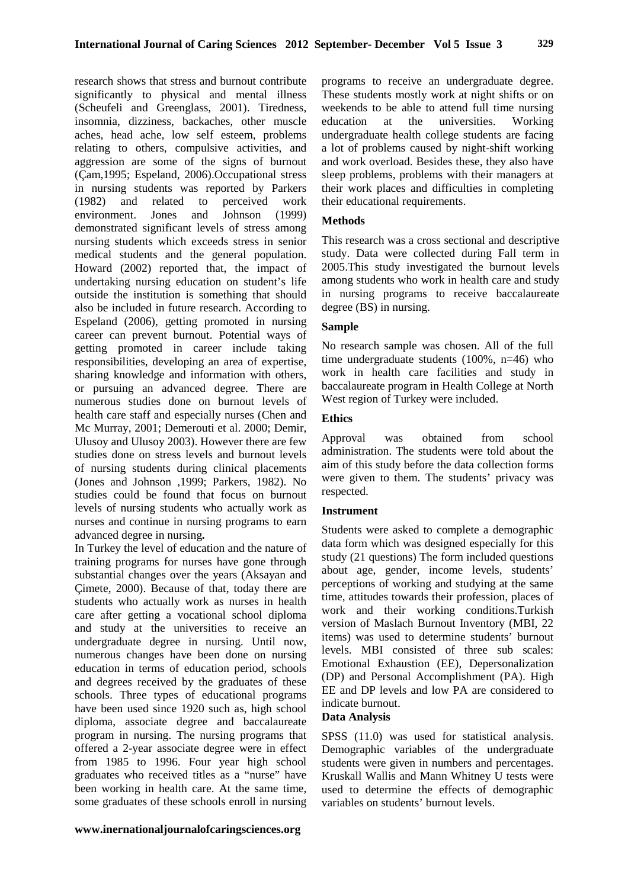research shows that stress and burnout contribute significantly to physical and mental illness (Scheufeli and Greenglass, 2001). Tiredness, insomnia, dizziness, backaches, other muscle aches, head ache, low self esteem, problems relating to others, compulsive activities, and aggression are some of the signs of burnout (Çam,1995; Espeland, 2006).Occupational stress in nursing students was reported by Parkers (1982) and related to perceived work environment. Jones and Johnson (1999) demonstrated significant levels of stress among nursing students which exceeds stress in senior medical students and the general population. Howard (2002) reported that, the impact of undertaking nursing education on student's life outside the institution is something that should also be included in future research. According to Espeland (2006), getting promoted in nursing career can prevent burnout. Potential ways of getting promoted in career include taking responsibilities, developing an area of expertise, sharing knowledge and information with others, or pursuing an advanced degree. There are numerous studies done on burnout levels of health care staff and especially nurses (Chen and Mc Murray, 2001; Demerouti et al. 2000; Demir, Ulusoy and Ulusoy 2003). However there are few studies done on stress levels and burnout levels of nursing students during clinical placements (Jones and Johnson ,1999; Parkers, 1982). No studies could be found that focus on burnout levels of nursing students who actually work as nurses and continue in nursing programs to earn advanced degree in nursing**.** 

In Turkey the level of education and the nature of training programs for nurses have gone through substantial changes over the years (Aksayan and Çimete, 2000). Because of that, today there are students who actually work as nurses in health care after getting a vocational school diploma and study at the universities to receive an undergraduate degree in nursing. Until now, numerous changes have been done on nursing education in terms of education period, schools and degrees received by the graduates of these schools. Three types of educational programs have been used since 1920 such as, high school diploma, associate degree and baccalaureate program in nursing. The nursing programs that offered a 2-year associate degree were in effect from 1985 to 1996. Four year high school graduates who received titles as a "nurse" have been working in health care. At the same time, some graduates of these schools enroll in nursing programs to receive an undergraduate degree. These students mostly work at night shifts or on weekends to be able to attend full time nursing education at the universities. Working undergraduate health college students are facing a lot of problems caused by night-shift working and work overload. Besides these, they also have sleep problems, problems with their managers at their work places and difficulties in completing their educational requirements.

#### **Methods**

This research was a cross sectional and descriptive study. Data were collected during Fall term in 2005.This study investigated the burnout levels among students who work in health care and study in nursing programs to receive baccalaureate degree (BS) in nursing.

#### **Sample**

No research sample was chosen. All of the full time undergraduate students (100%, n=46) who work in health care facilities and study in baccalaureate program in Health College at North West region of Turkey were included.

## **Ethics**

Approval was obtained from school administration. The students were told about the aim of this study before the data collection forms were given to them. The students' privacy was respected.

#### **Instrument**

Students were asked to complete a demographic data form which was designed especially for this study (21 questions) The form included questions about age, gender, income levels, students' perceptions of working and studying at the same time, attitudes towards their profession, places of work and their working conditions.Turkish version of Maslach Burnout Inventory (MBI, 22 items) was used to determine students' burnout levels. MBI consisted of three sub scales: Emotional Exhaustion (EE), Depersonalization (DP) and Personal Accomplishment (PA). High EE and DP levels and low PA are considered to indicate burnout.

# **Data Analysis**

SPSS (11.0) was used for statistical analysis. Demographic variables of the undergraduate students were given in numbers and percentages. Kruskall Wallis and Mann Whitney U tests were used to determine the effects of demographic variables on students' burnout levels.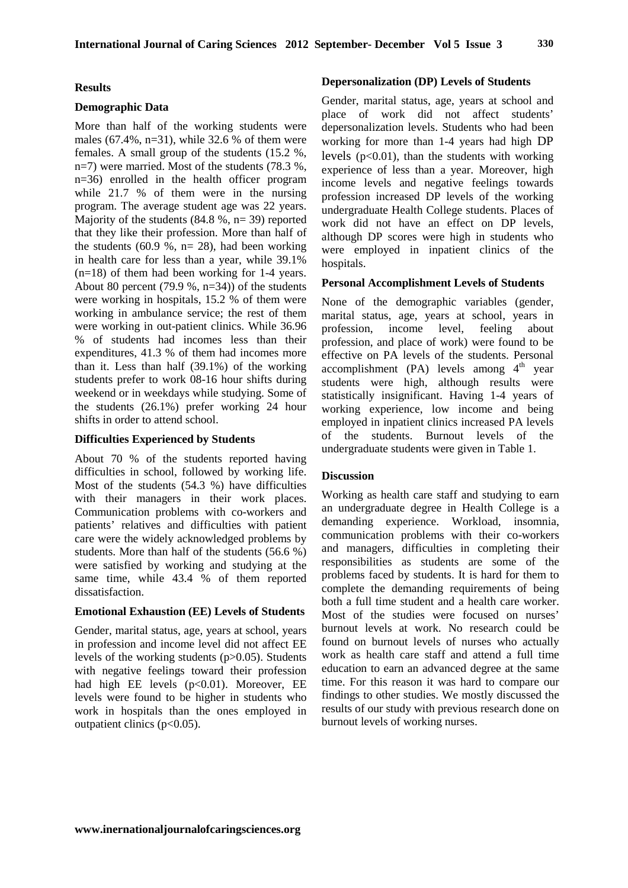#### **Results**

#### **Demographic Data**

More than half of the working students were males (67.4%, n=31), while 32.6 % of them were females. A small group of the students (15.2 %, n=7) were married. Most of the students (78.3 %, n=36) enrolled in the health officer program while 21.7 % of them were in the nursing program. The average student age was 22 years. Majority of the students (84.8 %, n= 39) reported that they like their profession. More than half of the students (60.9 %,  $n= 28$ ), had been working in health care for less than a year, while 39.1% (n=18) of them had been working for 1-4 years. About 80 percent  $(79.9 %, n=34)$  of the students were working in hospitals, 15.2 % of them were working in ambulance service; the rest of them were working in out-patient clinics. While 36.96 % of students had incomes less than their expenditures, 41.3 % of them had incomes more than it. Less than half (39.1%) of the working students prefer to work 08-16 hour shifts during weekend or in weekdays while studying. Some of the students (26.1%) prefer working 24 hour shifts in order to attend school.

## **Difficulties Experienced by Students**

About 70 % of the students reported having difficulties in school, followed by working life. Most of the students (54.3 %) have difficulties with their managers in their work places. Communication problems with co-workers and patients' relatives and difficulties with patient care were the widely acknowledged problems by students. More than half of the students (56.6 %) were satisfied by working and studying at the same time, while 43.4 % of them reported dissatisfaction.

# **Emotional Exhaustion (EE) Levels of Students**

Gender, marital status, age, years at school, years in profession and income level did not affect EE levels of the working students (p>0.05). Students with negative feelings toward their profession had high EE levels (p<0.01). Moreover, EE levels were found to be higher in students who work in hospitals than the ones employed in outpatient clinics ( $p<0.05$ ).

# **Depersonalization (DP) Levels of Students**

Gender, marital status, age, years at school and place of work did not affect students' depersonalization levels. Students who had been working for more than 1-4 years had high DP levels  $(p<0.01)$ , than the students with working experience of less than a year. Moreover, high income levels and negative feelings towards profession increased DP levels of the working undergraduate Health College students. Places of work did not have an effect on DP levels, although DP scores were high in students who were employed in inpatient clinics of the hospitals.

## **Personal Accomplishment Levels of Students**

None of the demographic variables (gender, marital status, age, years at school, years in profession, income level, feeling about profession, and place of work) were found to be effective on PA levels of the students. Personal accomplishment (PA) levels among  $4<sup>th</sup>$  year students were high, although results were statistically insignificant. Having 1-4 years of working experience, low income and being employed in inpatient clinics increased PA levels of the students. Burnout levels of the undergraduate students were given in Table 1.

# **Discussion**

Working as health care staff and studying to earn an undergraduate degree in Health College is a demanding experience. Workload, insomnia, communication problems with their co-workers and managers, difficulties in completing their responsibilities as students are some of the problems faced by students. It is hard for them to complete the demanding requirements of being both a full time student and a health care worker. Most of the studies were focused on nurses' burnout levels at work. No research could be found on burnout levels of nurses who actually work as health care staff and attend a full time education to earn an advanced degree at the same time. For this reason it was hard to compare our findings to other studies. We mostly discussed the results of our study with previous research done on burnout levels of working nurses.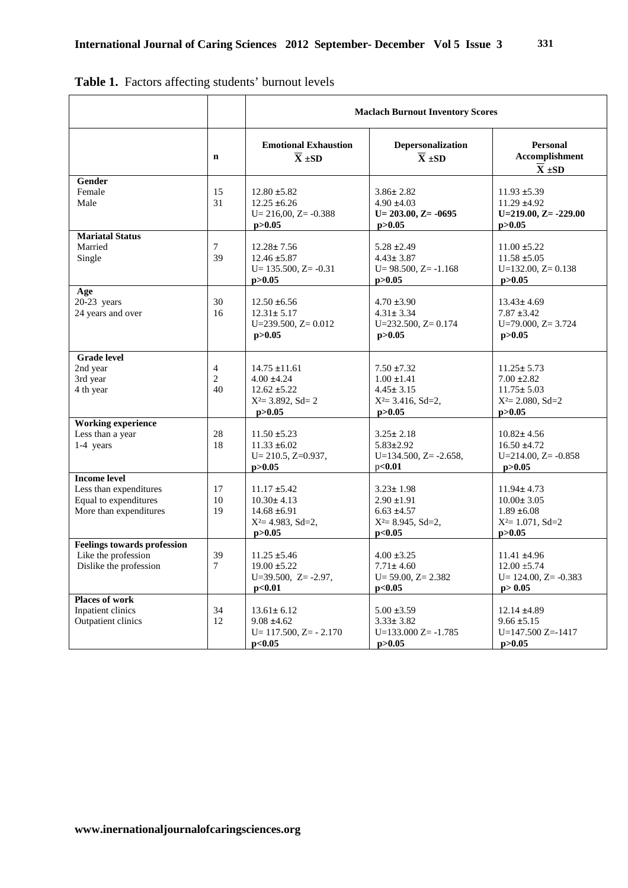|                                                                                                  |                           | <b>Maclach Burnout Inventory Scores</b>                                                          |                                                                                            |                                                                                             |  |
|--------------------------------------------------------------------------------------------------|---------------------------|--------------------------------------------------------------------------------------------------|--------------------------------------------------------------------------------------------|---------------------------------------------------------------------------------------------|--|
|                                                                                                  | n                         | <b>Emotional Exhaustion</b><br>$\overline{X} \pm SD$                                             | Depersonalization<br>$\overline{X} \pm SD$                                                 | Personal<br>Accomplishment<br>$\overline{X} \pm SD$                                         |  |
| Gender<br>Female<br>Male                                                                         | 15<br>31                  | $12.80 \pm 5.82$<br>$12.25 \pm 6.26$<br>$U = 216,00$ , $Z = -0.388$<br>p > 0.05                  | $3.86 \pm 2.82$<br>$4.90 \pm 4.03$<br>$U = 203.00, Z = -0695$<br>p > 0.05                  | $11.93 \pm 5.39$<br>$11.29 \pm 4.92$<br>$U=219.00, Z=-229.00$<br>p > 0.05                   |  |
| <b>Mariatal Status</b><br>Married<br>Single                                                      | 7<br>39                   | $12.28 \pm 7.56$<br>$12.46 \pm 5.87$<br>$U=135.500, Z=-0.31$<br>p > 0.05                         | $5.28 \pm 2.49$<br>$4.43 \pm 3.87$<br>$U=98.500, Z=-1.168$<br>p > 0.05                     | $11.00 \pm 5.22$<br>$11.58 \pm 5.05$<br>$U=132.00$ , $Z=0.138$<br>p > 0.05                  |  |
| Age<br>$20-23$ years<br>24 years and over                                                        | 30<br>16                  | $12.50 \pm 6.56$<br>$12.31 \pm 5.17$<br>$U=239.500, Z=0.012$<br>p > 0.05                         | $4.70 \pm 3.90$<br>$4.31 \pm 3.34$<br>$U=232.500$ , $Z=0.174$<br>p > 0.05                  | $13.43 \pm 4.69$<br>$7.87 \pm 3.42$<br>$U=79.000$ , $Z=3.724$<br>p > 0.05                   |  |
| <b>Grade</b> level<br>2nd year<br>3rd year<br>4 th year                                          | $\overline{4}$<br>2<br>40 | $14.75 \pm 11.61$<br>$4.00 \pm 4.24$<br>$12.62 \pm 5.22$<br>$X^2 = 3.892$ , $Sd = 2$<br>p > 0.05 | $7.50 \pm 7.32$<br>$1.00 \pm 1.41$<br>$4.45 \pm 3.15$<br>$X^2 = 3.416$ , Sd=2,<br>p > 0.05 | $11.25 \pm 5.73$<br>$7.00 \pm 2.82$<br>$11.75 \pm 5.03$<br>$X^2 = 2.080$ , Sd=2<br>p > 0.05 |  |
| <b>Working experience</b><br>Less than a year<br>$1-4$ years                                     | 28<br>18                  | $11.50 \pm 5.23$<br>$11.33 \pm 6.02$<br>$U = 210.5, Z = 0.937,$<br>p > 0.05                      | $3.25 \pm 2.18$<br>$5.83 \pm 2.92$<br>$U=134.500$ , $Z=-2.658$ ,<br>p<0.01                 | $10.82 \pm 4.56$<br>$16.50 \pm 4.72$<br>$U=214.00$ , $Z=-0.858$<br>p > 0.05                 |  |
| <b>Income level</b><br>Less than expenditures<br>Equal to expenditures<br>More than expenditures | 17<br>10<br>19            | $11.17 \pm 5.42$<br>$10.30 \pm 4.13$<br>$14.68 \pm 6.91$<br>$X^2 = 4.983$ , Sd=2,<br>p > 0.05    | $3.23 \pm 1.98$<br>$2.90 \pm 1.91$<br>$6.63 \pm 4.57$<br>$X^2 = 8.945$ , Sd=2,<br>p<0.05   | $11.94 \pm 4.73$<br>$10.00 \pm 3.05$<br>$1.89 \pm 6.08$<br>$X^2 = 1.071$ , Sd=2<br>p > 0.05 |  |
| Feelings towards profession<br>Like the profession<br>Dislike the profession                     | 39<br>$\overline{7}$      | $11.25 \pm 5.46$<br>$19.00 \pm 5.22$<br>$U=39.500, Z=-2.97,$<br>p<0.01                           | $4.00 \pm 3.25$<br>$7.71 \pm 4.60$<br>$U = 59.00$ , $Z = 2.382$<br>p<0.05                  | $11.41 \pm 4.96$<br>$12.00 \pm 5.74$<br>$U=124.00$ , $Z=-0.383$<br>p > 0.05                 |  |
| Places of work<br>Inpatient clinics<br>Outpatient clinics                                        | 34<br>12                  | $13.61 \pm 6.12$<br>$9.08 \pm 4.62$<br>$U = 117.500$ , $Z = -2.170$<br>p<0.05                    | $5.00 \pm 3.59$<br>$3.33 \pm 3.82$<br>$U=133.000 Z= -1.785$<br>p > 0.05                    | $12.14 \pm 4.89$<br>$9.66 \pm 5.15$<br>$U=147.500$ Z=-1417<br>p > 0.05                      |  |

|  |  |  | <b>Table 1.</b> Factors affecting students' burnout levels |  |  |
|--|--|--|------------------------------------------------------------|--|--|
|--|--|--|------------------------------------------------------------|--|--|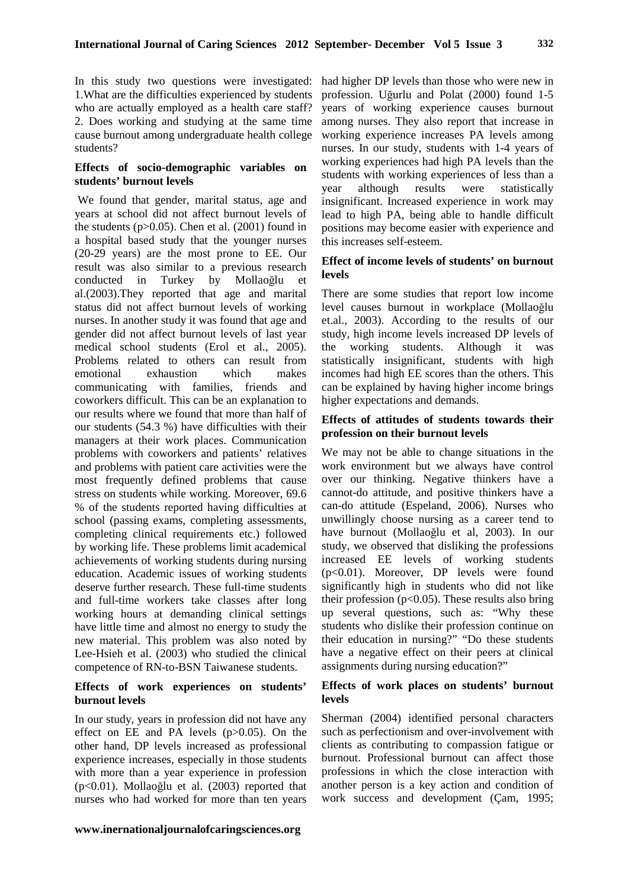In this study two questions were investigated: 1.What are the difficulties experienced by students who are actually employed as a health care staff? 2. Does working and studying at the same time cause burnout among undergraduate health college students?

## **Effects of socio-demographic variables on students' burnout levels**

We found that gender, marital status, age and years at school did not affect burnout levels of the students  $(p>0.05)$ . Chen et al.  $(2001)$  found in a hospital based study that the younger nurses (20-29 years) are the most prone to EE. Our result was also similar to a previous research conducted in Turkey by Mollaoğlu et al.(2003).They reported that age and marital status did not affect burnout levels of working nurses. In another study it was found that age and gender did not affect burnout levels of last year medical school students (Erol et al., 2005). Problems related to others can result from emotional exhaustion which makes communicating with families, friends and coworkers difficult. This can be an explanation to our results where we found that more than half of our students (54.3 %) have difficulties with their managers at their work places. Communication problems with coworkers and patients' relatives and problems with patient care activities were the most frequently defined problems that cause stress on students while working. Moreover, 69.6 % of the students reported having difficulties at school (passing exams, completing assessments, completing clinical requirements etc.) followed by working life. These problems limit academical achievements of working students during nursing education. Academic issues of working students deserve further research. These full-time students and full-time workers take classes after long working hours at demanding clinical settings have little time and almost no energy to study the new material. This problem was also noted by Lee-Hsieh et al. (2003) who studied the clinical competence of RN-to-BSN Taiwanese students.

# **Effects of work experiences on students' burnout levels**

In our study, years in profession did not have any effect on EE and PA levels (p>0.05). On the other hand, DP levels increased as professional experience increases, especially in those students with more than a year experience in profession (p<0.01). Mollaoğlu et al. (2003) reported that nurses who had worked for more than ten years had higher DP levels than those who were new in profession. Uğurlu and Polat (2000) found 1-5 years of working experience causes burnout among nurses. They also report that increase in working experience increases PA levels among nurses. In our study, students with 1-4 years of working experiences had high PA levels than the students with working experiences of less than a year although results were statistically insignificant. Increased experience in work may lead to high PA, being able to handle difficult positions may become easier with experience and this increases self-esteem.

# **Effect of income levels of students' on burnout levels**

There are some studies that report low income level causes burnout in workplace (Mollaoğlu et.al., 2003). According to the results of our study, high income levels increased DP levels of the working students. Although it was statistically insignificant, students with high incomes had high EE scores than the others. This can be explained by having higher income brings higher expectations and demands.

## **Effects of attitudes of students towards their profession on their burnout levels**

We may not be able to change situations in the work environment but we always have control over our thinking. Negative thinkers have a cannot-do attitude, and positive thinkers have a can-do attitude (Espeland, 2006). Nurses who unwillingly choose nursing as a career tend to have burnout (Mollaoğlu et al, 2003). In our study, we observed that disliking the professions increased EE levels of working students (p<0.01). Moreover, DP levels were found significantly high in students who did not like their profession ( $p<0.05$ ). These results also bring up several questions, such as: "Why these students who dislike their profession continue on their education in nursing?" "Do these students have a negative effect on their peers at clinical assignments during nursing education?"

# **Effects of work places on students' burnout levels**

Sherman (2004) identified personal characters such as perfectionism and over-involvement with clients as contributing to compassion fatigue or burnout. Professional burnout can affect those professions in which the close interaction with another person is a key action and condition of work success and development (Çam, 1995;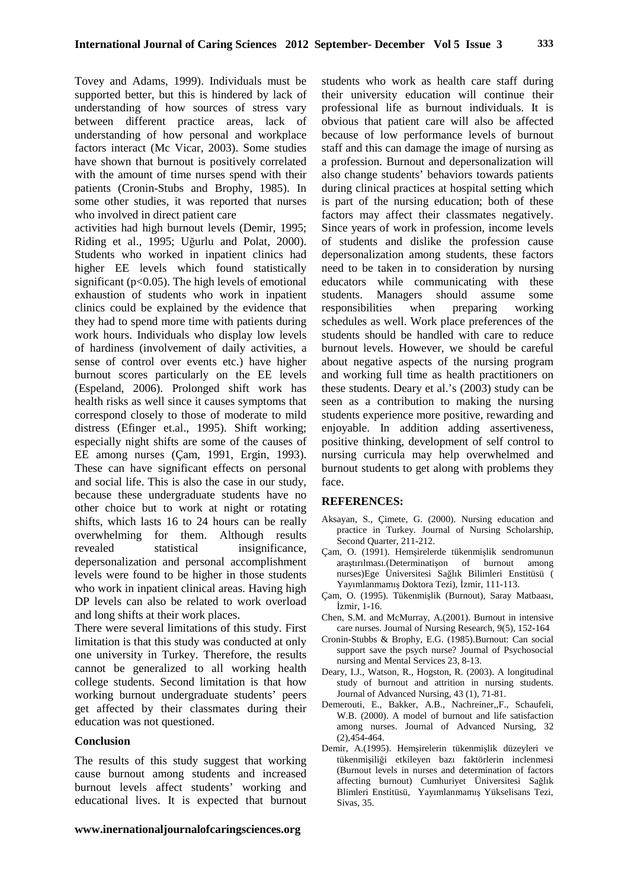Tovey and Adams, 1999). Individuals must be supported better, but this is hindered by lack of understanding of how sources of stress vary between different practice areas, lack of understanding of how personal and workplace factors interact (Mc Vicar, 2003). Some studies have shown that burnout is positively correlated with the amount of time nurses spend with their patients (Cronin-Stubs and Brophy, 1985). In some other studies, it was reported that nurses who involved in direct patient care

activities had high burnout levels (Demir, 1995; Riding et al., 1995; Uğurlu and Polat, 2000). Students who worked in inpatient clinics had higher EE levels which found statistically significant ( $p<0.05$ ). The high levels of emotional exhaustion of students who work in inpatient clinics could be explained by the evidence that they had to spend more time with patients during work hours. Individuals who display low levels of hardiness (involvement of daily activities, a sense of control over events etc.) have higher burnout scores particularly on the EE levels (Espeland, 2006). Prolonged shift work has health risks as well since it causes symptoms that correspond closely to those of moderate to mild distress (Efinger et.al., 1995). Shift working; especially night shifts are some of the causes of EE among nurses (Çam, 1991, Ergin, 1993). These can have significant effects on personal and social life. This is also the case in our study, because these undergraduate students have no other choice but to work at night or rotating shifts, which lasts 16 to 24 hours can be really overwhelming for them. Although results revealed statistical insignificance, depersonalization and personal accomplishment levels were found to be higher in those students who work in inpatient clinical areas. Having high DP levels can also be related to work overload and long shifts at their work places.

There were several limitations of this study. First limitation is that this study was conducted at only one university in Turkey. Therefore, the results cannot be generalized to all working health college students. Second limitation is that how working burnout undergraduate students' peers get affected by their classmates during their education was not questioned.

#### **Conclusion**

The results of this study suggest that working cause burnout among students and increased burnout levels affect students' working and educational lives. It is expected that burnout

students who work as health care staff during their university education will continue their professional life as burnout individuals. It is obvious that patient care will also be affected because of low performance levels of burnout staff and this can damage the image of nursing as a profession. Burnout and depersonalization will also change students' behaviors towards patients during clinical practices at hospital setting which is part of the nursing education; both of these factors may affect their classmates negatively. Since years of work in profession, income levels of students and dislike the profession cause depersonalization among students, these factors need to be taken in to consideration by nursing educators while communicating with these students. Managers should assume some responsibilities when preparing working schedules as well. Work place preferences of the students should be handled with care to reduce burnout levels. However, we should be careful about negative aspects of the nursing program and working full time as health practitioners on these students. Deary et al.'s (2003) study can be seen as a contribution to making the nursing students experience more positive, rewarding and enjoyable. In addition adding assertiveness, positive thinking, development of self control to nursing curricula may help overwhelmed and burnout students to get along with problems they face.

#### **REFERENCES:**

- Aksayan, S., Çimete, G. (2000). Nursing education and practice in Turkey. Journal of Nursing Scholarship, Second Quarter, 211-212.
- Çam, O. (1991). Hemşirelerde tükenmişlik sendromunun araştırılması.(Determinatişon of burnout among nurses)Ege Üniversitesi Sağlık Bilimleri Enstitüsü ( Yayımlanmamış Doktora Tezi), İzmir, 111-113.
- Çam, O. (1995). Tükenmişlik (Burnout), Saray Matbaası, Đzmir, 1-16.
- Chen, S.M. and McMurray, A.(2001). Burnout in intensive care nurses. Journal of Nursing Research, 9(5), 152-164
- Cronin-Stubbs & Brophy, E.G. (1985).Burnout: Can social support save the psych nurse? Journal of Psychosocial nursing and Mental Services 23, 8-13.
- Deary, I.J., Watson, R., Hogston, R. (2003). A longitudinal study of burnout and attrition in nursing students. Journal of Advanced Nursing, 43 (1), 71-81.
- Demerouti, E., Bakker, A.B., Nachreiner,,F., Schaufeli, W.B. (2000). A model of burnout and life satisfaction among nurses. Journal of Advanced Nursing, 32 (2),454-464.
- Demir, A.(1995). Hemşirelerin tükenmişlik düzeyleri ve tükenmişiliği etkileyen bazı faktörlerin inclenmesi (Burnout levels in nurses and determination of factors affecting burnout) Cumhuriyet Üniversitesi Sağlık Blimleri Enstitüsü, Yayımlanmamış Yükselisans Tezi, Sivas, 35.